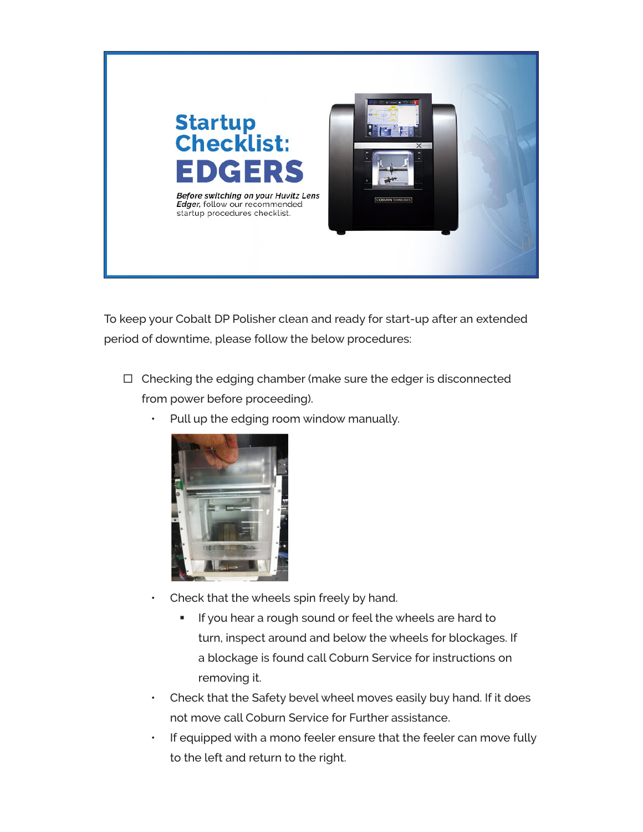

To keep your Cobalt DP Polisher clean and ready for start-up after an extended period of downtime, please follow the below procedures:

- $\Box$  Checking the edging chamber (make sure the edger is disconnected from power before proceeding).
	- Pull up the edging room window manually.



- Check that the wheels spin freely by hand.
	- **If you hear a rough sound or feel the wheels are hard to** turn, inspect around and below the wheels for blockages. If a blockage is found call Coburn Service for instructions on removing it.
- Check that the Safety bevel wheel moves easily buy hand. If it does not move call Coburn Service for Further assistance.
- If equipped with a mono feeler ensure that the feeler can move fully to the left and return to the right.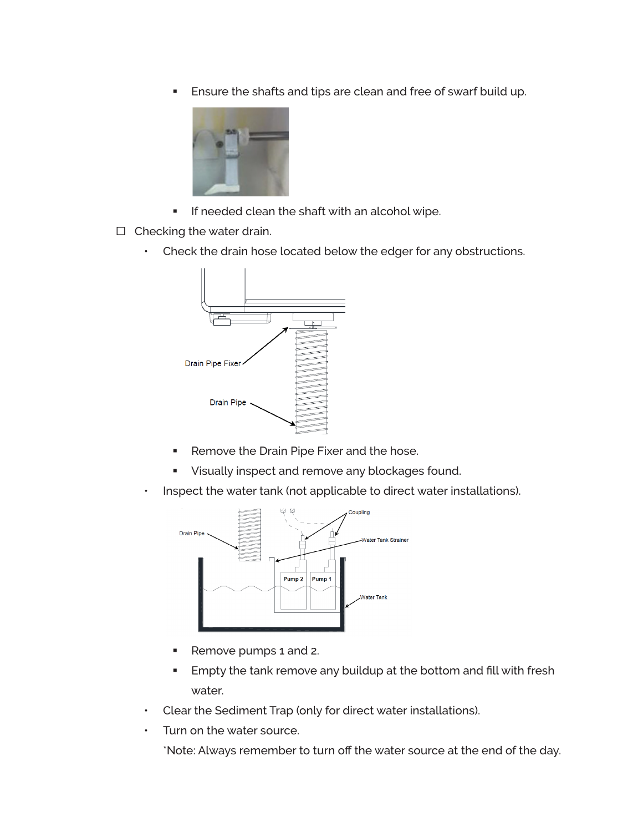**Ensure the shafts and tips are clean and free of swarf build up.** 



- **If needed clean the shaft with an alcohol wipe.**
- $\Box$  Checking the water drain.
	- Check the drain hose located below the edger for any obstructions.



- Remove the Drain Pipe Fixer and the hose.
- **Visually inspect and remove any blockages found.**
- Inspect the water tank (not applicable to direct water installations).



- Remove pumps 1 and 2.
- **Empty the tank remove any buildup at the bottom and fill with fresh** water.
- Clear the Sediment Trap (only for direct water installations).
- Turn on the water source.

\*Note: Always remember to turn off the water source at the end of the day.